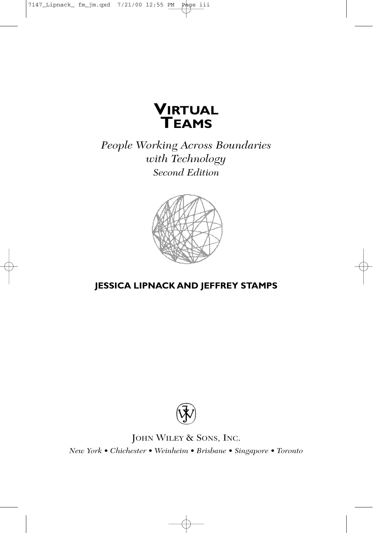

*People Working Across Boundaries with Technology Second Edition*



## **JESSICA LIPNACK AND JEFFREY STAMPS**



JOHN WILEY & SONS, INC. *New York • Chichester • Weinheim • Brisbane • Singapore • Toronto*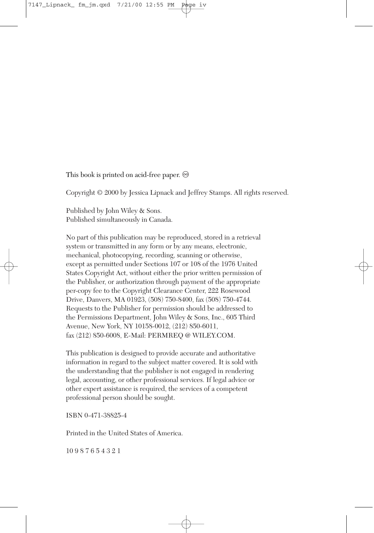This book is printed on acid-free paper.  $\circledcirc$ 

Copyright © 2000 by Jessica Lipnack and Jeffrey Stamps. All rights reserved.

Published by John Wiley & Sons. Published simultaneously in Canada.

No part of this publication may be reproduced, stored in a retrieval system or transmitted in any form or by any means, electronic, mechanical, photocopying, recording, scanning or otherwise, except as permitted under Sections 107 or 108 of the 1976 United States Copyright Act, without either the prior written permission of the Publisher, or authorization through payment of the appropriate per-copy fee to the Copyright Clearance Center, 222 Rosewood Drive, Danvers, MA 01923, (508) 750-8400, fax (508) 750-4744. Requests to the Publisher for permission should be addressed to the Permissions Department, John Wiley & Sons, Inc., 605 Third Avenue, New York, NY 10158-0012, (212) 850-6011, fax (212) 850-6008, E-Mail: PERMREQ @ WILEY.COM.

This publication is designed to provide accurate and authoritative information in regard to the subject matter covered. It is sold with the understanding that the publisher is not engaged in rendering legal, accounting, or other professional services. If legal advice or other expert assistance is required, the services of a competent professional person should be sought.

ISBN 0-471-38825-4

Printed in the United States of America.

10 9 8 7 6 5 4 3 2 1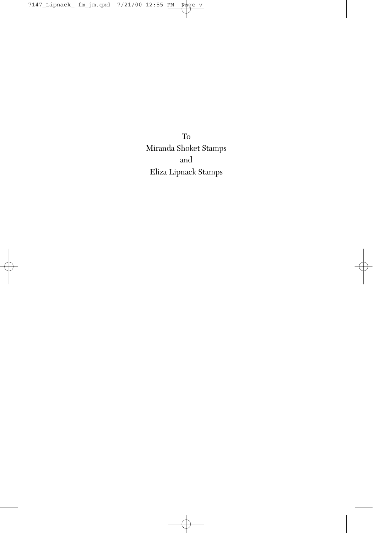To Miranda Shoket Stamps and Eliza Lipnack Stamps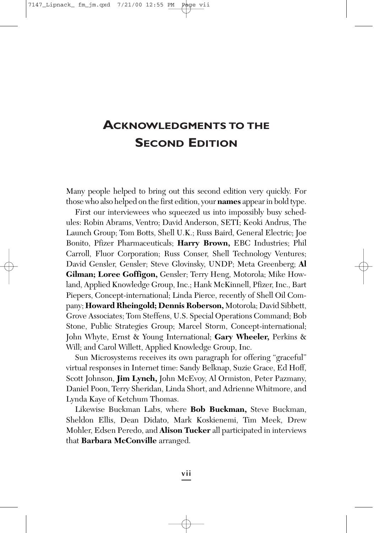## **ACKNOWLEDGMENTS TO THE SECOND EDITION**

Many people helped to bring out this second edition very quickly. For those who also helped on the first edition, your **names** appear in bold type.

First our interviewees who squeezed us into impossibly busy schedules: Robin Abrams, Ventro; David Anderson, SETI; Keoki Andrus, The Launch Group; Tom Botts, Shell U.K.; Russ Baird, General Electric; Joe Bonito, Pfizer Pharmaceuticals; **Harry Brown,** EBC Industries; Phil Carroll, Fluor Corporation; Russ Conser, Shell Technology Ventures; David Gensler, Gensler; Steve Glovinsky, UNDP; Meta Greenberg; **Al Gilman; Loree Goffigon,** Gensler; Terry Heng, Motorola; Mike Howland, Applied Knowledge Group, Inc.; Hank McKinnell, Pfizer, Inc., Bart Piepers, Concept-international; Linda Pierce, recently of Shell Oil Company; **Howard Rheingold; Dennis Roberson,** Motorola; David Sibbett, Grove Associates; Tom Steffens, U.S. Special Operations Command; Bob Stone, Public Strategies Group; Marcel Storm, Concept-international; John Whyte, Ernst & Young International; **Gary Wheeler,** Perkins & Will; and Carol Willett, Applied Knowledge Group, Inc.

Sun Microsystems receives its own paragraph for offering "graceful" virtual responses in Internet time: Sandy Belknap, Suzie Grace, Ed Hoff, Scott Johnson, **Jim Lynch,** John McEvoy, Al Ormiston, Peter Pazmany, Daniel Poon, Terry Sheridan, Linda Short, and Adrienne Whitmore, and Lynda Kaye of Ketchum Thomas.

Likewise Buckman Labs, where **Bob Buckman,** Steve Buckman, Sheldon Ellis, Dean Didato, Mark Koskienemi, Tim Meek, Drew Mohler, Edsen Peredo, and **Alison Tucker** all participated in interviews that **Barbara McConville** arranged.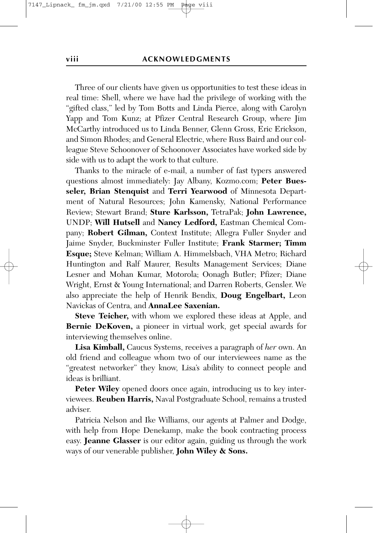Three of our clients have given us opportunities to test these ideas in real time: Shell, where we have had the privilege of working with the "gifted class," led by Tom Botts and Linda Pierce, along with Carolyn Yapp and Tom Kunz; at Pfizer Central Research Group, where Jim McCarthy introduced us to Linda Benner, Glenn Gross, Eric Erickson, and Simon Rhodes; and General Electric, where Russ Baird and our colleague Steve Schoonover of Schoonover Associates have worked side by side with us to adapt the work to that culture.

Thanks to the miracle of e-mail, a number of fast typers answered questions almost immediately: Jay Albany, Kozmo.com; **Peter Buesseler, Brian Stenquist** and **Terri Yearwood** of Minnesota Department of Natural Resources; John Kamensky, National Performance Review; Stewart Brand; **Sture Karlsson,** TetraPak; **John Lawrence,** UNDP; **Will Hutsell** and **Nancy Ledford,** Eastman Chemical Company; **Robert Gilman,** Context Institute; Allegra Fuller Snyder and Jaime Snyder, Buckminster Fuller Institute; **Frank Starmer; Timm Esque;** Steve Kelman; William A. Himmelsbach, VHA Metro; Richard Huntington and Ralf Maurer, Results Management Services; Diane Lesner and Mohan Kumar, Motorola; Oonagh Butler; Pfizer; Diane Wright, Ernst & Young International; and Darren Roberts, Gensler. We also appreciate the help of Henrik Bendix, **Doug Engelbart,** Leon Navickas of Centra, and **AnnaLee Saxenian.**

**Steve Teicher,** with whom we explored these ideas at Apple, and **Bernie DeKoven,** a pioneer in virtual work, get special awards for interviewing themselves online.

**Lisa Kimball,** Caucus Systems, receives a paragraph of *her* own. An old friend and colleague whom two of our interviewees name as the "greatest networker" they know, Lisa's ability to connect people and ideas is brilliant.

**Peter Wiley** opened doors once again, introducing us to key interviewees. **Reuben Harris,** Naval Postgraduate School, remains a trusted adviser.

Patricia Nelson and Ike Williams, our agents at Palmer and Dodge, with help from Hope Denekamp, make the book contracting process easy. **Jeanne Glasser** is our editor again, guiding us through the work ways of our venerable publisher, **John Wiley & Sons.**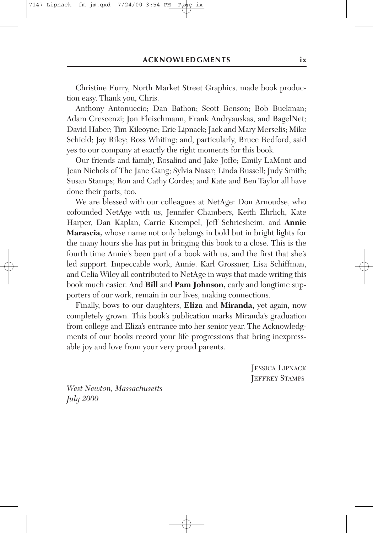Christine Furry, North Market Street Graphics, made book production easy. Thank you, Chris.

Anthony Antonuccio; Dan Bathon; Scott Benson; Bob Buckman; Adam Crescenzi; Jon Fleischmann, Frank Andryauskas, and BagelNet; David Haber; Tim Kilcoyne; Eric Lipnack; Jack and Mary Merselis; Mike Schield; Jay Riley; Ross Whiting; and, particularly, Bruce Bedford, said yes to our company at exactly the right moments for this book.

Our friends and family, Rosalind and Jake Joffe; Emily LaMont and Jean Nichols of The Jane Gang; Sylvia Nasar; Linda Russell; Judy Smith; Susan Stamps; Ron and Cathy Cordes; and Kate and Ben Taylor all have done their parts, too.

We are blessed with our colleagues at NetAge: Don Arnoudse, who cofounded NetAge with us, Jennifer Chambers, Keith Ehrlich, Kate Harper, Dan Kaplan, Carrie Kuempel, Jeff Schriesheim, and **Annie Marascia,** whose name not only belongs in bold but in bright lights for the many hours she has put in bringing this book to a close. This is the fourth time Annie's been part of a book with us, and the first that she's led support. Impeccable work, Annie. Karl Grossner, Lisa Schiffman, and Celia Wiley all contributed to NetAge in ways that made writing this book much easier. And **Bill** and **Pam Johnson,** early and longtime supporters of our work, remain in our lives, making connections.

Finally, bows to our daughters, **Eliza** and **Miranda,** yet again, now completely grown. This book's publication marks Miranda's graduation from college and Eliza's entrance into her senior year. The Acknowledgments of our books record your life progressions that bring inexpressable joy and love from your very proud parents.

> JESSICA LIPNACK JEFFREY STAMPS

*West Newton, Massachusetts July 2000*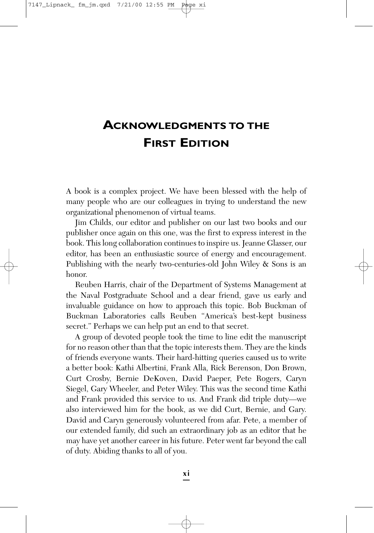## **ACKNOWLEDGMENTS TO THE FIRST EDITION**

A book is a complex project. We have been blessed with the help of many people who are our colleagues in trying to understand the new organizational phenomenon of virtual teams.

Jim Childs, our editor and publisher on our last two books and our publisher once again on this one, was the first to express interest in the book. This long collaboration continues to inspire us. Jeanne Glasser, our editor, has been an enthusiastic source of energy and encouragement. Publishing with the nearly two-centuries-old John Wiley & Sons is an honor.

Reuben Harris, chair of the Department of Systems Management at the Naval Postgraduate School and a dear friend, gave us early and invaluable guidance on how to approach this topic. Bob Buckman of Buckman Laboratories calls Reuben "America's best-kept business secret." Perhaps we can help put an end to that secret.

A group of devoted people took the time to line edit the manuscript for no reason other than that the topic interests them. They are the kinds of friends everyone wants. Their hard-hitting queries caused us to write a better book: Kathi Albertini, Frank Alla, Rick Berenson, Don Brown, Curt Crosby, Bernie DeKoven, David Paeper, Pete Rogers, Caryn Siegel, Gary Wheeler, and Peter Wiley. This was the second time Kathi and Frank provided this service to us. And Frank did triple duty—we also interviewed him for the book, as we did Curt, Bernie, and Gary. David and Caryn generously volunteered from afar. Pete, a member of our extended family, did such an extraordinary job as an editor that he may have yet another career in his future. Peter went far beyond the call of duty. Abiding thanks to all of you.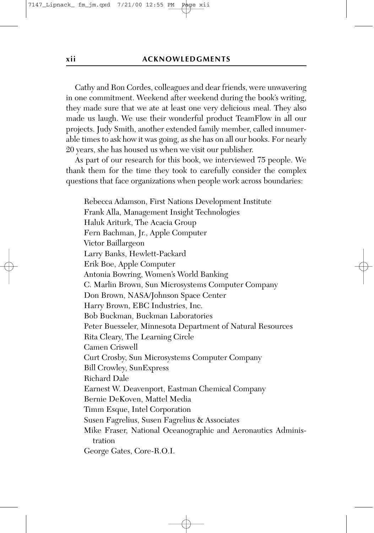Cathy and Ron Cordes, colleagues and dear friends, were unwavering in one commitment. Weekend after weekend during the book's writing, they made sure that we ate at least one very delicious meal. They also made us laugh. We use their wonderful product TeamFlow in all our projects. Judy Smith, another extended family member, called innumerable times to ask how it was going, as she has on all our books. For nearly 20 years, she has housed us when we visit our publisher.

As part of our research for this book, we interviewed 75 people. We thank them for the time they took to carefully consider the complex questions that face organizations when people work across boundaries:

Rebecca Adamson, First Nations Development Institute Frank Alla, Management Insight Technologies Haluk Ariturk, The Acacia Group Fern Bachman, Jr., Apple Computer Victor Baillargeon Larry Banks, Hewlett-Packard Erik Boe, Apple Computer Antonia Bowring, Women's World Banking C. Marlin Brown, Sun Microsystems Computer Company Don Brown, NASA/Johnson Space Center Harry Brown, EBC Industries, Inc. Bob Buckman, Buckman Laboratories Peter Buesseler, Minnesota Department of Natural Resources Rita Cleary, The Learning Circle Camen Criswell Curt Crosby, Sun Microsystems Computer Company Bill Crowley, SunExpress Richard Dale Earnest W. Deavenport, Eastman Chemical Company Bernie DeKoven, Mattel Media Timm Esque, Intel Corporation Susen Fagrelius, Susen Fagrelius & Associates Mike Fraser, National Oceanographic and Aeronautics Administration George Gates, Core-R.O.I.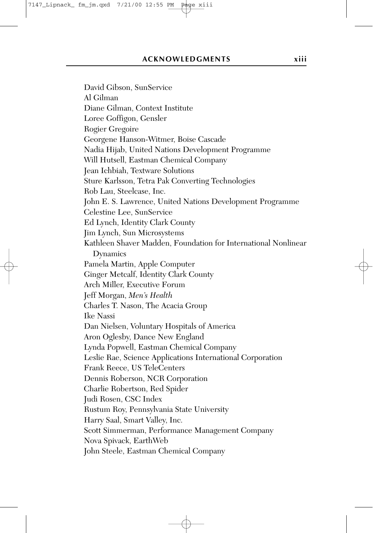David Gibson, SunService Al Gilman Diane Gilman, Context Institute Loree Goffigon, Gensler Rogier Gregoire Georgene Hanson-Witmer, Boise Cascade Nadia Hijab, United Nations Development Programme Will Hutsell, Eastman Chemical Company Jean Ichbiah, Textware Solutions Sture Karlsson, Tetra Pak Converting Technologies Rob Lau, Steelcase, Inc. John E. S. Lawrence, United Nations Development Programme Celestine Lee, SunService Ed Lynch, Identity Clark County Jim Lynch, Sun Microsystems Kathleen Shaver Madden, Foundation for International Nonlinear Dynamics Pamela Martin, Apple Computer Ginger Metcalf, Identity Clark County Arch Miller, Executive Forum Jeff Morgan, *Men's Health* Charles T. Nason, The Acacia Group Ike Nassi Dan Nielsen, Voluntary Hospitals of America Aron Oglesby, Dance New England Lynda Popwell, Eastman Chemical Company Leslie Rae, Science Applications International Corporation Frank Reece, US TeleCenters Dennis Roberson, NCR Corporation Charlie Robertson, Red Spider Judi Rosen, CSC Index Rustum Roy, Pennsylvania State University Harry Saal, Smart Valley, Inc. Scott Simmerman, Performance Management Company Nova Spivack, EarthWeb John Steele, Eastman Chemical Company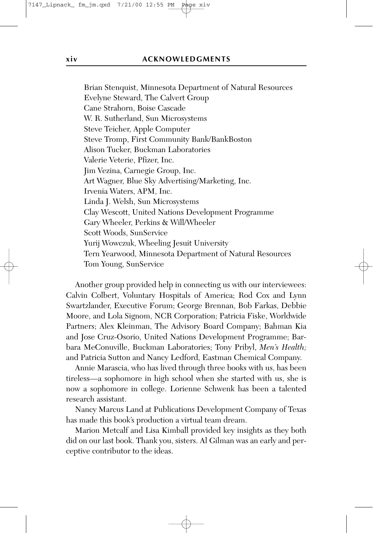Brian Stenquist, Minnesota Department of Natural Resources Evelyne Steward, The Calvert Group Cane Strahorn, Boise Cascade W. R. Sutherland, Sun Microsystems Steve Teicher, Apple Computer Steve Tromp, First Community Bank/BankBoston Alison Tucker, Buckman Laboratories Valerie Veterie, Pfizer, Inc. Jim Vezina, Carnegie Group, Inc. Art Wagner, Blue Sky Advertising/Marketing, Inc. Irvenia Waters, APM, Inc. Linda J. Welsh, Sun Microsystems Clay Wescott, United Nations Development Programme Gary Wheeler, Perkins & Will/Wheeler Scott Woods, SunService Yurij Wowczuk, Wheeling Jesuit University Tern Yearwood, Minnesota Department of Natural Resources Tom Young, SunService

Another group provided help in connecting us with our interviewees: Calvin Colbert, Voluntary Hospitals of America; Rod Cox and Lynn Swartzlander, Executive Forum; George Brennan, Bob Farkas, Debbie Moore, and Lola Signom, NCR Corporation; Patricia Fiske, Worldwide Partners; Alex Kleinman, The Advisory Board Company; Bahman Kia and Jose Cruz-Osorio, United Nations Development Programme; Barbara MeConuville, Buckman Laboratories; Tony Pribyl, *Men's Health;* and Patricia Sutton and Nancy Ledford, Eastman Chemical Company.

Annie Marascia, who has lived through three books with us, has been tireless—a sophomore in high school when she started with us, she is now a sophomore in college. Lorienne Schwenk has been a talented research assistant.

Nancy Marcus Land at Publications Development Company of Texas has made this book's production a virtual team dream.

Marion Metcalf and Lisa Kimball provided key insights as they both did on our last book. Thank you, sisters. Al Gilman was an early and perceptive contributor to the ideas.